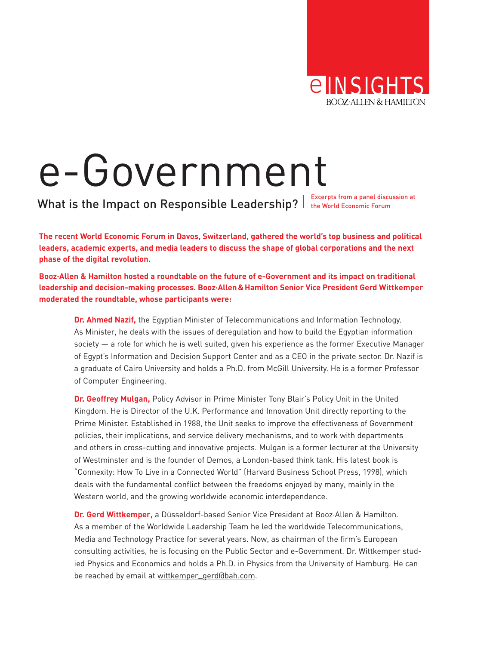

# e-Government

What is the Impact on Responsible Leadership?  $\vert$  Excerpts from a panel discussion at

**The recent World Economic Forum in Davos, Switzerland, gathered the world's top business and political leaders, academic experts, and media leaders to discuss the shape of global corporations and the next phase of the digital revolution.**

**Booz·Allen & Hamilton hosted a roundtable on the future of e-Government and its impact on traditional leadership and decision-making processes. Booz·Allen & Hamilton Senior Vice President Gerd Wittkemper moderated the roundtable, whose participants were:**

**Dr. Ahmed Nazif,** the Egyptian Minister of Telecommunications and Information Technology. As Minister, he deals with the issues of deregulation and how to build the Egyptian information society — a role for which he is well suited, given his experience as the former Executive Manager of Egypt's Information and Decision Support Center and as a CEO in the private sector. Dr. Nazif is a graduate of Cairo University and holds a Ph.D. from McGill University. He is a former Professor of Computer Engineering.

**Dr. Geoffrey Mulgan,** Policy Advisor in Prime Minister Tony Blair's Policy Unit in the United Kingdom. He is Director of the U.K. Performance and Innovation Unit directly reporting to the Prime Minister. Established in 1988, the Unit seeks to improve the effectiveness of Government policies, their implications, and service delivery mechanisms, and to work with departments and others in cross-cutting and innovative projects. Mulgan is a former lecturer at the University of Westminster and is the founder of Demos, a London-based think tank. His latest book is "Connexity: How To Live in a Connected World" (Harvard Business School Press, 1998), which deals with the fundamental conflict between the freedoms enjoyed by many, mainly in the Western world, and the growing worldwide economic interdependence.

**Dr. Gerd Wittkemper,** a Düsseldorf-based Senior Vice President at Booz·Allen & Hamilton. As a member of the Worldwide Leadership Team he led the worldwide Telecommunications, Media and Technology Practice for several years. Now, as chairman of the firm's European consulting activities, he is focusing on the Public Sector and e-Government. Dr. Wittkemper studied Physics and Economics and holds a Ph.D. in Physics from the University of Hamburg. He can be reached by email at [wittkemper\\_gerd@bah.com.](mailto:wittkemper_gerd@bah.com)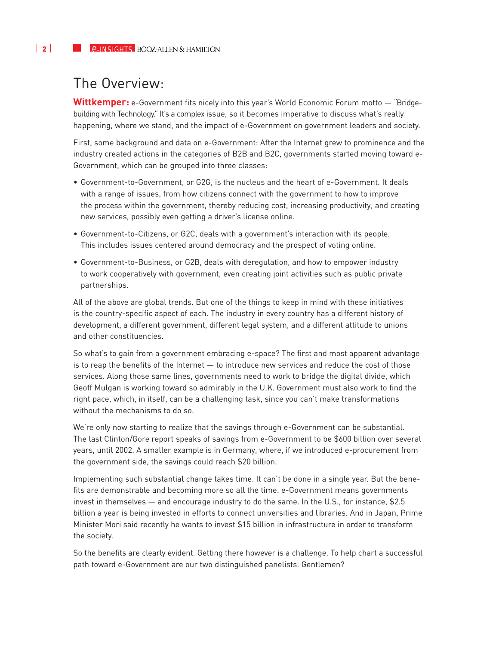## The Overview:

**Wittkemper:** e-Government fits nicely into this year's World Economic Forum motto — "Bridgebuilding with Technology." It's a complex issue, so it becomes imperative to discuss what's really happening, where we stand, and the impact of e-Government on government leaders and society.

First, some background and data on e-Government: After the Internet grew to prominence and the industry created actions in the categories of B2B and B2C, governments started moving toward e-Government, which can be grouped into three classes:

- Government-to-Government, or G2G, is the nucleus and the heart of e-Government. It deals with a range of issues, from how citizens connect with the government to how to improve the process within the government, thereby reducing cost, increasing productivity, and creating new services, possibly even getting a driver's license online.
- Government-to-Citizens, or G2C, deals with a government's interaction with its people. This includes issues centered around democracy and the prospect of voting online.
- Government-to-Business, or G2B, deals with deregulation, and how to empower industry to work cooperatively with government, even creating joint activities such as public private partnerships.

All of the above are global trends. But one of the things to keep in mind with these initiatives is the country-specific aspect of each. The industry in every country has a different history of development, a different government, different legal system, and a different attitude to unions and other constituencies.

So what's to gain from a government embracing e-space? The first and most apparent advantage is to reap the benefits of the Internet — to introduce new services and reduce the cost of those services. Along those same lines, governments need to work to bridge the digital divide, which Geoff Mulgan is working toward so admirably in the U.K. Government must also work to find the right pace, which, in itself, can be a challenging task, since you can't make transformations without the mechanisms to do so.

We're only now starting to realize that the savings through e-Government can be substantial. The last Clinton/Gore report speaks of savings from e-Government to be \$600 billion over several years, until 2002. A smaller example is in Germany, where, if we introduced e-procurement from the government side, the savings could reach \$20 billion.

Implementing such substantial change takes time. It can't be done in a single year. But the benefits are demonstrable and becoming more so all the time. e-Government means governments invest in themselves — and encourage industry to do the same. In the U.S., for instance, \$2.5 billion a year is being invested in efforts to connect universities and libraries. And in Japan, Prime Minister Mori said recently he wants to invest \$15 billion in infrastructure in order to transform the society.

So the benefits are clearly evident. Getting there however is a challenge. To help chart a successful path toward e-Government are our two distinguished panelists. Gentlemen?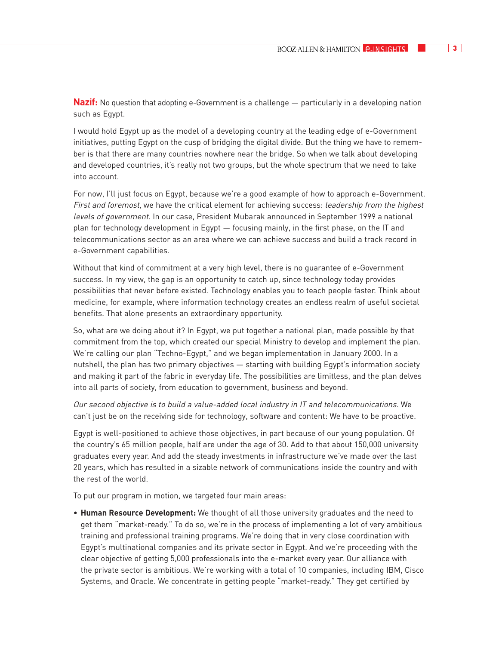**Nazif:** No question that adopting e-Government is a challenge — particularly in a developing nation such as Egypt.

I would hold Egypt up as the model of a developing country at the leading edge of e-Government initiatives, putting Egypt on the cusp of bridging the digital divide. But the thing we have to remember is that there are many countries nowhere near the bridge. So when we talk about developing and developed countries, it's really not two groups, but the whole spectrum that we need to take into account.

For now, I'll just focus on Egypt, because we're a good example of how to approach e-Government. First and foremost, we have the critical element for achieving success: *leadership from the highest* levels of government. In our case, President Mubarak announced in September 1999 a national plan for technology development in Egypt — focusing mainly, in the first phase, on the IT and telecommunications sector as an area where we can achieve success and build a track record in e-Government capabilities.

Without that kind of commitment at a very high level, there is no guarantee of e-Government success. In my view, the gap is an opportunity to catch up, since technology today provides possibilities that never before existed. Technology enables you to teach people faster. Think about medicine, for example, where information technology creates an endless realm of useful societal benefits. That alone presents an extraordinary opportunity.

So, what are we doing about it? In Egypt, we put together a national plan, made possible by that commitment from the top, which created our special Ministry to develop and implement the plan. We're calling our plan "Techno-Egypt," and we began implementation in January 2000. In a nutshell, the plan has two primary objectives — starting with building Egypt's information society and making it part of the fabric in everyday life. The possibilities are limitless, and the plan delves into all parts of society, from education to government, business and beyond.

Our second objective is to build a value-added local industry in IT and telecommunications. We can't just be on the receiving side for technology, software and content: We have to be proactive.

Egypt is well-positioned to achieve those objectives, in part because of our young population. Of the country's 65 million people, half are under the age of 30. Add to that about 150,000 university graduates every year. And add the steady investments in infrastructure we've made over the last 20 years, which has resulted in a sizable network of communications inside the country and with the rest of the world.

To put our program in motion, we targeted four main areas:

• **Human Resource Development:** We thought of all those university graduates and the need to get them "market-ready." To do so, we're in the process of implementing a lot of very ambitious training and professional training programs. We're doing that in very close coordination with Egypt's multinational companies and its private sector in Egypt. And we're proceeding with the clear objective of getting 5,000 professionals into the e-market every year. Our alliance with the private sector is ambitious. We're working with a total of 10 companies, including IBM, Cisco Systems, and Oracle. We concentrate in getting people "market-ready." They get certified by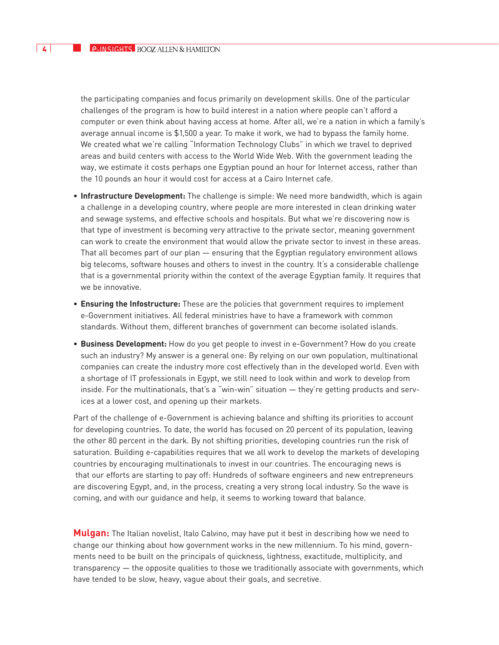the participating companies and focus primarily on development skills. One of the particular challenges of the program is how to build interest in a nation where people can't afford a computer or even think about having access at home. After all, we're a nation in which a family's average annual income is \$1,500 a year. To make it work, we had to bypass the family home. We created what we're calling "Information Technology Clubs" in which we travel to deprived areas and build centers with access to the World Wide Web. With the government leading the way, we estimate it costs perhaps one Egyptian pound an hour for Internet access, rather than the 10 pounds an hour it would cost for access at a Cairo Internet cafe.

- **Infrastructure Development:** The challenge is simple: We need more bandwidth, which is again a challenge in a developing country, where people are more interested in clean drinking water and sewage systems, and effective schools and hospitals. But what we're discovering now is that type of investment is becoming very attractive to the private sector, meaning government can work to create the environment that would allow the private sector to invest in these areas. That all becomes part of our plan — ensuring that the Egyptian regulatory environment allows big telecoms, software houses and others to invest in the country. It's a considerable challenge that is a governmental priority within the context of the average Egyptian family. It requires that we be innovative.
- **Ensuring the Infostructure:** These are the policies that government requires to implement e-Government initiatives. All federal ministries have to have a framework with common standards. Without them, different branches of government can become isolated islands.
- **Business Development:** How do you get people to invest in e-Government? How do you create such an industry? My answer is a general one: By relying on our own population, multinational companies can create the industry more cost effectively than in the developed world. Even with a shortage of IT professionals in Egypt, we still need to look within and work to develop from inside. For the multinationals, that's a "win-win" situation — they're getting products and services at a lower cost, and opening up their markets.

Part of the challenge of e-Government is achieving balance and shifting its priorities to account for developing countries. To date, the world has focused on 20 percent of its population, leaving the other 80 percent in the dark. By not shifting priorities, developing countries run the risk of saturation. Building e-capabilities requires that we all work to develop the markets of developing countries by encouraging multinationals to invest in our countries. The encouraging news is that our efforts are starting to pay off: Hundreds of software engineers and new entrepreneurs are discovering Egypt, and, in the process, creating a very strong local industry. So the wave is coming, and with our guidance and help, it seems to working toward that balance.

**Mulgan:** The Italian novelist, Italo Calvino, may have put it best in describing how we need to change our thinking about how government works in the new millennium. To his mind, governments need to be built on the principals of quickness, lightness, exactitude, multiplicity, and transparency — the opposite qualities to those we traditionally associate with governments, which have tended to be slow, heavy, vague about their goals, and secretive.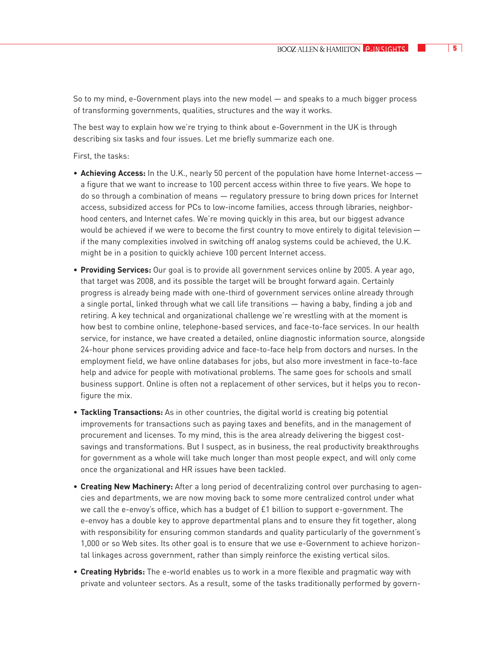So to my mind, e-Government plays into the new model — and speaks to a much bigger process of transforming governments, qualities, structures and the way it works.

The best way to explain how we're trying to think about e-Government in the UK is through describing six tasks and four issues. Let me briefly summarize each one.

First, the tasks:

- **Achieving Access:** In the U.K., nearly 50 percent of the population have home Internet-access a figure that we want to increase to 100 percent access within three to five years. We hope to do so through a combination of means — regulatory pressure to bring down prices for Internet access, subsidized access for PCs to low-income families, access through libraries, neighborhood centers, and Internet cafes. We're moving quickly in this area, but our biggest advance would be achieved if we were to become the first country to move entirely to digital television if the many complexities involved in switching off analog systems could be achieved, the U.K. might be in a position to quickly achieve 100 percent Internet access.
- **Providing Services:** Our goal is to provide all government services online by 2005. A year ago, that target was 2008, and its possible the target will be brought forward again. Certainly progress is already being made with one-third of government services online already through a single portal, linked through what we call life transitions — having a baby, finding a job and retiring. A key technical and organizational challenge we're wrestling with at the moment is how best to combine online, telephone-based services, and face-to-face services. In our health service, for instance, we have created a detailed, online diagnostic information source, alongside 24-hour phone services providing advice and face-to-face help from doctors and nurses. In the employment field, we have online databases for jobs, but also more investment in face-to-face help and advice for people with motivational problems. The same goes for schools and small business support. Online is often not a replacement of other services, but it helps you to reconfigure the mix.
- **Tackling Transactions:** As in other countries, the digital world is creating big potential improvements for transactions such as paying taxes and benefits, and in the management of procurement and licenses. To my mind, this is the area already delivering the biggest costsavings and transformations. But I suspect, as in business, the real productivity breakthroughs for government as a whole will take much longer than most people expect, and will only come once the organizational and HR issues have been tackled.
- **Creating New Machinery:** After a long period of decentralizing control over purchasing to agencies and departments, we are now moving back to some more centralized control under what we call the e-envoy's office, which has a budget of £1 billion to support e-government. The e-envoy has a double key to approve departmental plans and to ensure they fit together, along with responsibility for ensuring common standards and quality particularly of the government's 1,000 or so Web sites. Its other goal is to ensure that we use e-Government to achieve horizontal linkages across government, rather than simply reinforce the existing vertical silos.
- **Creating Hybrids:** The e-world enables us to work in a more flexible and pragmatic way with private and volunteer sectors. As a result, some of the tasks traditionally performed by govern-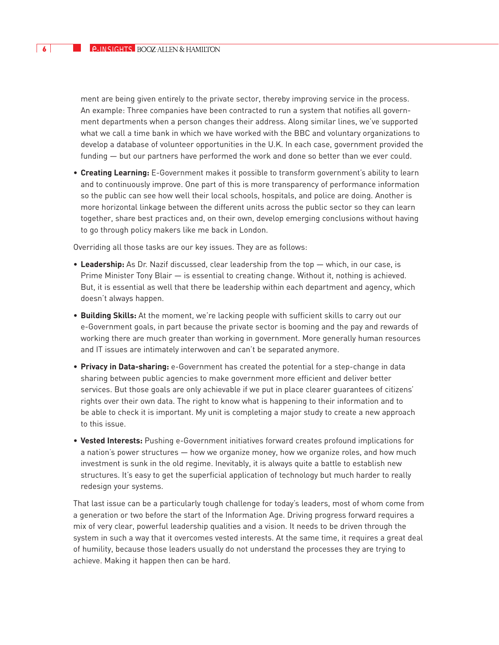ment are being given entirely to the private sector, thereby improving service in the process. An example: Three companies have been contracted to run a system that notifies all government departments when a person changes their address. Along similar lines, we've supported what we call a time bank in which we have worked with the BBC and voluntary organizations to develop a database of volunteer opportunities in the U.K. In each case, government provided the funding — but our partners have performed the work and done so better than we ever could.

• **Creating Learning:** E-Government makes it possible to transform government's ability to learn and to continuously improve. One part of this is more transparency of performance information so the public can see how well their local schools, hospitals, and police are doing. Another is more horizontal linkage between the different units across the public sector so they can learn together, share best practices and, on their own, develop emerging conclusions without having to go through policy makers like me back in London.

Overriding all those tasks are our key issues. They are as follows:

- **Leadership:** As Dr. Nazif discussed, clear leadership from the top which, in our case, is Prime Minister Tony Blair — is essential to creating change. Without it, nothing is achieved. But, it is essential as well that there be leadership within each department and agency, which doesn't always happen.
- **Building Skills:** At the moment, we're lacking people with sufficient skills to carry out our e-Government goals, in part because the private sector is booming and the pay and rewards of working there are much greater than working in government. More generally human resources and IT issues are intimately interwoven and can't be separated anymore.
- **Privacy in Data-sharing:** e-Government has created the potential for a step-change in data sharing between public agencies to make government more efficient and deliver better services. But those goals are only achievable if we put in place clearer guarantees of citizens' rights over their own data. The right to know what is happening to their information and to be able to check it is important. My unit is completing a major study to create a new approach to this issue.
- **Vested Interests:** Pushing e-Government initiatives forward creates profound implications for a nation's power structures — how we organize money, how we organize roles, and how much investment is sunk in the old regime. Inevitably, it is always quite a battle to establish new structures. It's easy to get the superficial application of technology but much harder to really redesign your systems.

That last issue can be a particularly tough challenge for today's leaders, most of whom come from a generation or two before the start of the Information Age. Driving progress forward requires a mix of very clear, powerful leadership qualities and a vision. It needs to be driven through the system in such a way that it overcomes vested interests. At the same time, it requires a great deal of humility, because those leaders usually do not understand the processes they are trying to achieve. Making it happen then can be hard.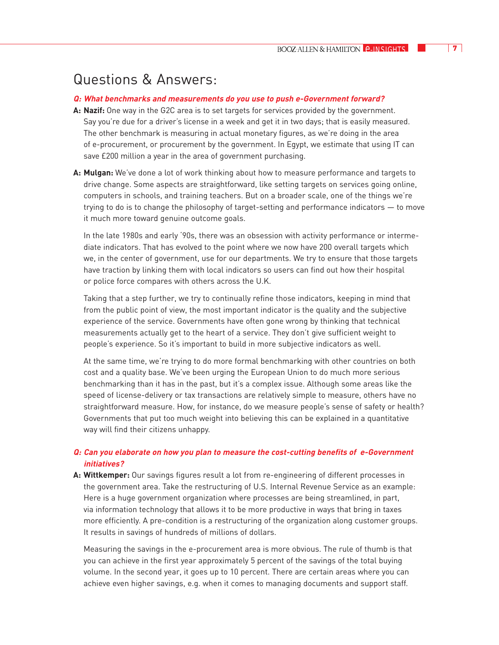## Questions & Answers:

#### **Q: What benchmarks and measurements do you use to push e-Government forward?**

- **A: Nazif:** One way in the G2C area is to set targets for services provided by the government. Say you're due for a driver's license in a week and get it in two days; that is easily measured. The other benchmark is measuring in actual monetary figures, as we're doing in the area of e-procurement, or procurement by the government. In Egypt, we estimate that using IT can save £200 million a year in the area of government purchasing.
- **A: Mulgan:** We've done a lot of work thinking about how to measure performance and targets to drive change. Some aspects are straightforward, like setting targets on services going online, computers in schools, and training teachers. But on a broader scale, one of the things we're trying to do is to change the philosophy of target-setting and performance indicators — to move it much more toward genuine outcome goals.

In the late 1980s and early '90s, there was an obsession with activity performance or intermediate indicators. That has evolved to the point where we now have 200 overall targets which we, in the center of government, use for our departments. We try to ensure that those targets have traction by linking them with local indicators so users can find out how their hospital or police force compares with others across the U.K.

Taking that a step further, we try to continually refine those indicators, keeping in mind that from the public point of view, the most important indicator is the quality and the subjective experience of the service. Governments have often gone wrong by thinking that technical measurements actually get to the heart of a service. They don't give sufficient weight to people's experience. So it's important to build in more subjective indicators as well.

At the same time, we're trying to do more formal benchmarking with other countries on both cost and a quality base. We've been urging the European Union to do much more serious benchmarking than it has in the past, but it's a complex issue. Although some areas like the speed of license-delivery or tax transactions are relatively simple to measure, others have no straightforward measure. How, for instance, do we measure people's sense of safety or health? Governments that put too much weight into believing this can be explained in a quantitative way will find their citizens unhappy.

### **Q: Can you elaborate on how you plan to measure the cost-cutting benefits of e-Government initiatives?**

**A: Wittkemper:** Our savings figures result a lot from re-engineering of different processes in the government area. Take the restructuring of U.S. Internal Revenue Service as an example: Here is a huge government organization where processes are being streamlined, in part, via information technology that allows it to be more productive in ways that bring in taxes more efficiently. A pre-condition is a restructuring of the organization along customer groups. It results in savings of hundreds of millions of dollars.

Measuring the savings in the e-procurement area is more obvious. The rule of thumb is that you can achieve in the first year approximately 5 percent of the savings of the total buying volume. In the second year, it goes up to 10 percent. There are certain areas where you can achieve even higher savings, e.g. when it comes to managing documents and support staff.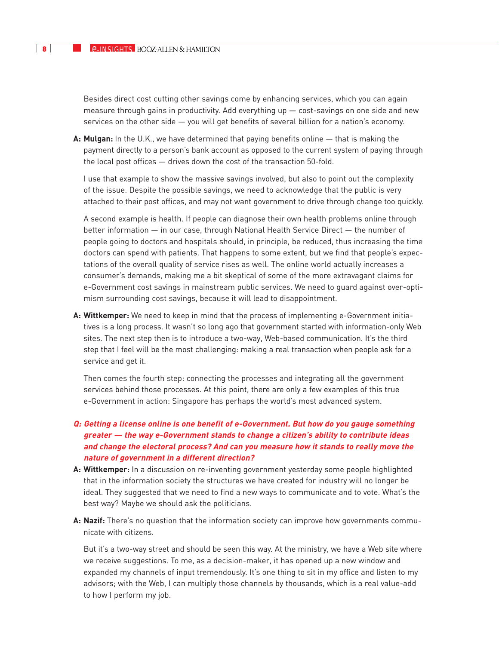Besides direct cost cutting other savings come by enhancing services, which you can again measure through gains in productivity. Add everything up  $-$  cost-savings on one side and new services on the other side — you will get benefits of several billion for a nation's economy.

**A: Mulgan:** In the U.K., we have determined that paying benefits online — that is making the payment directly to a person's bank account as opposed to the current system of paying through the local post offices — drives down the cost of the transaction 50-fold.

I use that example to show the massive savings involved, but also to point out the complexity of the issue. Despite the possible savings, we need to acknowledge that the public is very attached to their post offices, and may not want government to drive through change too quickly.

A second example is health. If people can diagnose their own health problems online through better information — in our case, through National Health Service Direct — the number of people going to doctors and hospitals should, in principle, be reduced, thus increasing the time doctors can spend with patients. That happens to some extent, but we find that people's expectations of the overall quality of service rises as well. The online world actually increases a consumer's demands, making me a bit skeptical of some of the more extravagant claims for e-Government cost savings in mainstream public services. We need to guard against over-optimism surrounding cost savings, because it will lead to disappointment.

**A: Wittkemper:** We need to keep in mind that the process of implementing e-Government initiatives is a long process. It wasn't so long ago that government started with information-only Web sites. The next step then is to introduce a two-way, Web-based communication. It's the third step that I feel will be the most challenging: making a real transaction when people ask for a service and get it.

Then comes the fourth step: connecting the processes and integrating all the government services behind those processes. At this point, there are only a few examples of this true e-Government in action: Singapore has perhaps the world's most advanced system.

- **Q: Getting a license online is one benefit of e-Government. But how do you gauge something greater — the way e-Government stands to change a citizen's ability to contribute ideas and change the electoral process? And can you measure how it stands to really move the nature of government in a different direction?**
- **A: Wittkemper:** In a discussion on re-inventing government yesterday some people highlighted that in the information society the structures we have created for industry will no longer be ideal. They suggested that we need to find a new ways to communicate and to vote. What's the best way? Maybe we should ask the politicians.
- **A: Nazif:** There's no question that the information society can improve how governments communicate with citizens.

But it's a two-way street and should be seen this way. At the ministry, we have a Web site where we receive suggestions. To me, as a decision-maker, it has opened up a new window and expanded my channels of input tremendously. It's one thing to sit in my office and listen to my advisors; with the Web, I can multiply those channels by thousands, which is a real value-add to how I perform my job.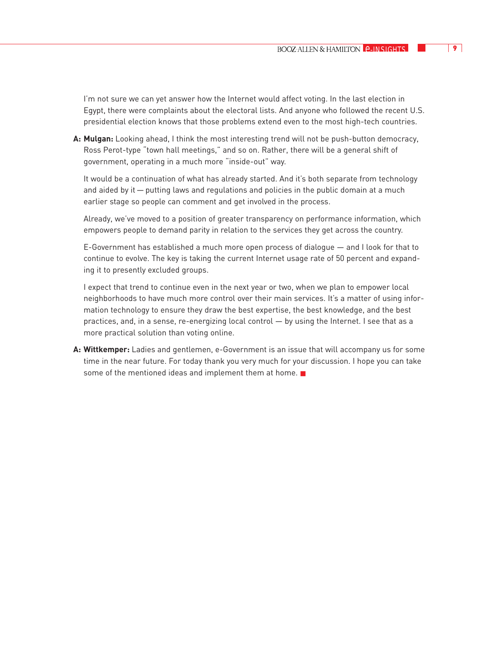I'm not sure we can yet answer how the Internet would affect voting. In the last election in Egypt, there were complaints about the electoral lists. And anyone who followed the recent U.S. presidential election knows that those problems extend even to the most high-tech countries.

**A: Mulgan:** Looking ahead, I think the most interesting trend will not be push-button democracy, Ross Perot-type "town hall meetings," and so on. Rather, there will be a general shift of government, operating in a much more "inside-out" way.

It would be a continuation of what has already started. And it's both separate from technology and aided by it — putting laws and regulations and policies in the public domain at a much earlier stage so people can comment and get involved in the process.

Already, we've moved to a position of greater transparency on performance information, which empowers people to demand parity in relation to the services they get across the country.

E-Government has established a much more open process of dialogue — and I look for that to continue to evolve. The key is taking the current Internet usage rate of 50 percent and expanding it to presently excluded groups.

I expect that trend to continue even in the next year or two, when we plan to empower local neighborhoods to have much more control over their main services. It's a matter of using information technology to ensure they draw the best expertise, the best knowledge, and the best practices, and, in a sense, re-energizing local control — by using the Internet. I see that as a more practical solution than voting online.

**A: Wittkemper:** Ladies and gentlemen, e-Government is an issue that will accompany us for some time in the near future. For today thank you very much for your discussion. I hope you can take some of the mentioned ideas and implement them at home. ■